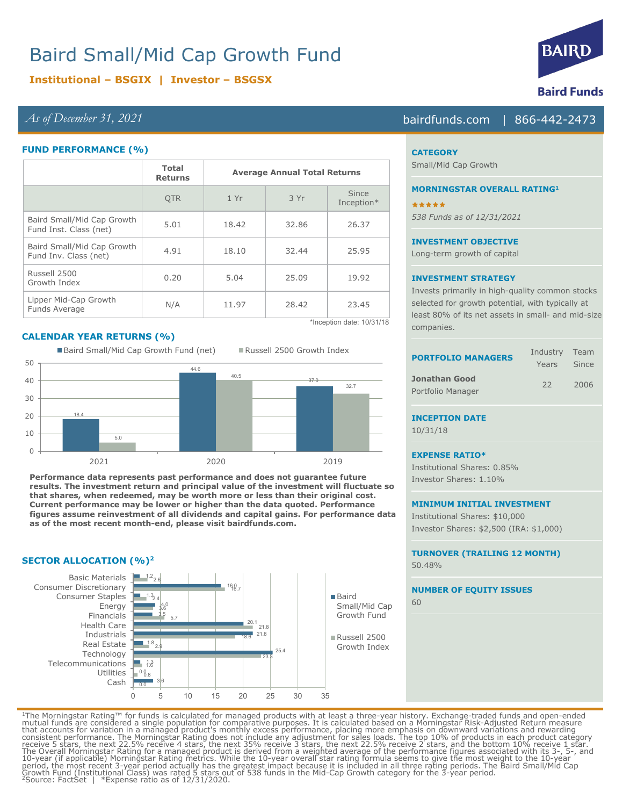# Baird Small/Mid Cap Growth Fund

# **Institutional – BSGIX | Investor – BSGSX**

## *As of December 31, 2021* bairdfunds.com | 866-442-2473

### **FUND PERFORMANCE (%)**

|                                                      | <b>Total</b><br><b>Returns</b> | <b>Average Annual Total Returns</b> |       |                            |
|------------------------------------------------------|--------------------------------|-------------------------------------|-------|----------------------------|
|                                                      | <b>OTR</b>                     | 1 Yr                                | 3 Yr  | <b>Since</b><br>Inception* |
| Baird Small/Mid Cap Growth<br>Fund Inst. Class (net) | 5.01                           | 18.42                               | 32.86 | 26.37                      |
| Baird Small/Mid Cap Growth<br>Fund Inv. Class (net)  | 4.91                           | 18.10                               | 32.44 | 25.95                      |
| Russell 2500<br>Growth Index                         | 0.20                           | 5.04                                | 25.09 | 19.92                      |
| Lipper Mid-Cap Growth<br>Funds Average               | N/A                            | 11.97                               | 28.42 | 23.45                      |

## **CALENDAR YEAR RETURNS (%)**



**Performance data represents past performance and does not guarantee future results. The investment return and principal value of the investment will fluctuate so that shares, when redeemed, may be worth more or less than their original cost. Current performance may be lower or higher than the data quoted. Performance figures assume reinvestment of all dividends and capital gains. For performance data as of the most recent month-end, please visit bairdfunds.com.** 

### **SECTOR ALLOCATION (%)2**



\*Inception date: 10/31/18



# 10/31/18

#### **EXPENSE RATIO\***

Institutional Shares: 0.85% Investor Shares: 1.10%

Investor Shares: \$2,500 (IRA: \$1,000)

**NUMBER OF EQUITY ISSUES**

60

<sup>1</sup>The Morningstar Rating™ for funds is calculated for managed products with at least a three-year history. Exchange-traded funds and open-ended<br>mutual funds are considered a single population for comparative purposes. It



#### **CATEGORY**

Small/Mid Cap Growth

#### **MORNINGSTAR OVERALL RATING1**

\*\*\*\*\* *538 Funds as of 12/31/2021*

#### **INVESTMENT OBJECTIVE**

Long-term growth of capital

### **INVESTMENT STRATEGY**

Invests primarily in high-quality common stocks selected for growth potential, with typically at least 80% of its net assets in small- and mid-size companies.

| <b>ORTFOLIO MANAGERS</b>         | Industry Team<br>Years Since |      |
|----------------------------------|------------------------------|------|
| onathan Good<br>ortfolio Manager | -22.                         | 2006 |

# **INCEPTION DATE**

**MINIMUM INITIAL INVESTMENT** Institutional Shares: \$10,000

> **TURNOVER (TRAILING 12 MONTH)** 50.48%